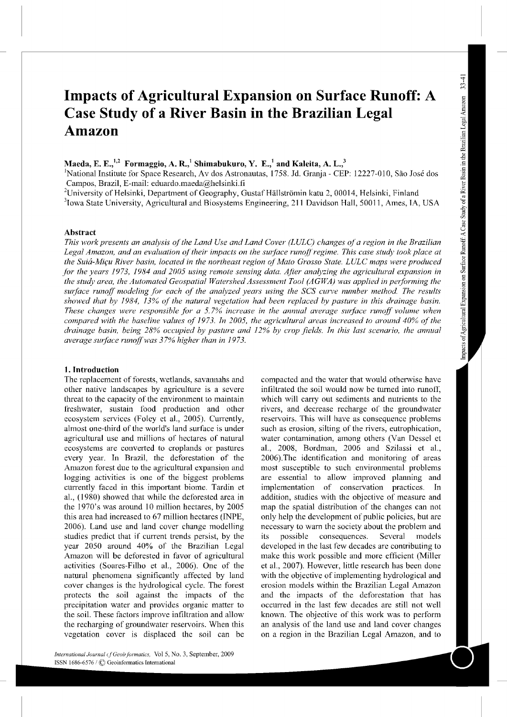# **Impacts of Agricultural Expansion on Surface Runoff: A Case Study of a River Basin in the Brazilian Legal Amazon**

# **Maeda, E. E.,<sup>1</sup> ' <sup>2</sup>Formaggio, A. R., <sup>1</sup>Shimabukuro, Y. E.,<sup>1</sup>and Kaleita, A. L./**

<sup>1</sup>National Institute for Space Research, Av dos Astronautas, 1758. Jd. Granja - CEP: 12227-010, São José dos Campos, Brazil, E-mail: eduardo.maeda@helsinki.fi 2

<sup>2</sup>University of Helsinki, Department of Geography, Gustaf Hällströmin katu 2, 00014, Helsinki, Finland

<sup>3</sup>Iowa State University, Agricultural and Biosystems Engineering, 211 Davidson Hall, 50011, Ames, IA, USA

# **Abstract**

*This work presents an analysis of the Land Use and Land Cover (LULC) changes of a region in the Brazilian*  Legal Amazon, and an evaluation of their impacts on the surface runoff regime. This case study took place at the Suiá-Miçu River basin, located in the northeast region of Mato Grosso State. LULC maps were produced *jar the years 1973, 1984 and 2005 using remote sensing data. Ajier analyzing the agricultural expansion in the study area, the Automated Geospatial Watershed Assessment Tool (AGWA) was applied in performing the surface runoff rnodeling for each of the analyzed years using the SCS curve number method. The results showed that by 1984, 13% of the natural vegetation had been replaced by pasture* in *this drainage basin. These changes were responsible jar a* 5. *7% increase* in *the annual average surface runoff volurne when compared with the baseline values of 1973. In 2005, the agricultural areas increased to around 40% of the drainage basin, being 28% occupied by pasture and 12% by crop fields. In this last scenario, the annual average surface runoffwas 37% higher than in 1973.* 

# **1. Introduction**

The replacement of forests, wetlands, savannahs and other native landscapes by agriculture is a severe threat to the capacity of the environment to maintain freshwater, sustain food production and other ecosystem services (Foley et al., 2005). Currently, almost one-third of the world's land surface is under agricultural use and millions of hectares of natural ecosystems are converted to croplands or pastures every year. In Brazil, the deforestation of the Amazon forest due to the agricultural expansion and logging activities is one of the biggest problems currently faced in this important biome. Tardin et al., ( 1980) showed that while the deforested area in the 1970's was around 10 million hectares, by 2005 this area had increased to 67 million hectares (INPE, 2006). Land use and land cover change modelling studies predict that if current trends persist, by the year 2050 around 40% of the Brazilian Legal Amazon will be deforested in favor of agricultural activities (Soares-Filho et al., 2006). One of the natural phenomena significantly affected by land cover changes is the hydrological cycle. The forest protects the soil against the impacts of the precipitation water and provides organic matter to the soil. These factors improve infiltration and allow the recharging of groundwater reservoirs. When this vegetation cover is displaced the soil can be

compacted and the water that would otherwise have infiltrated the soil would now be turned into runoff, which will carry out sediments and nutrients to the rivers, and decrease recharge of the groundwater reservoirs. This will have as consequence problems such as erosion, silting of the rivers, eutrophication, water contamination, among others (Van Dessel et al., 2008, Bordman, 2006 and Szilassi et al., 2006).The identification and monitoring of areas most susceptible to such environmental problems are essential to allow improved planning and implementation of conservation practices. In addition, studies with the objective of measure and map the spatial distribution of the changes can not only help the development of public policies, but are necessary to warn the society about the problem and its possible consequences. Several models developed in the last few decades are contributing to make this work possible and more efficient (Miller et al., 2007). However, little research has been done with the objective of implementing hydrological and erosion models within the Brazilian Legal Amazon and the impacts of the deforestation that has occuned in the last few decades are still not well known. The objective of this work was to perform an analysis of the land use and land cover changes on a region in the Brazilian Legal Amazon, and to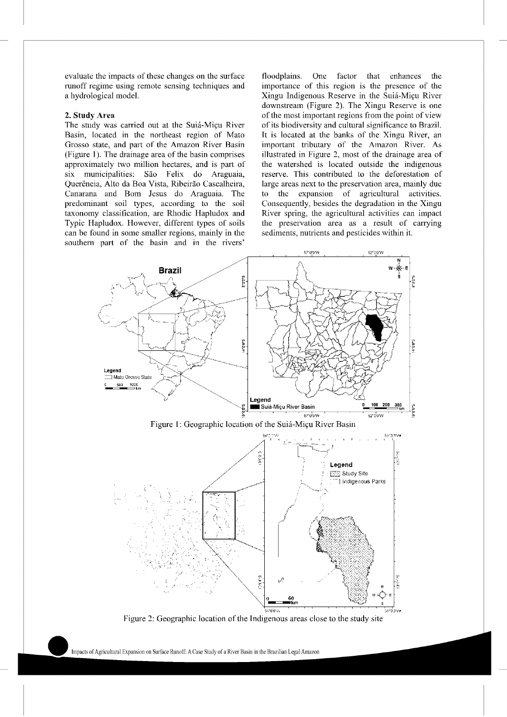evaluate the impacts of these changes on the surface runoff regime using remote sensing techniques and a hydrological model.

#### 2. Study Area

The study was carried out at the Suiá-Miçu River Basin, located in the northeast region of Mato Grosso state, and part of the Amazon River Basin (Figure 1). The drainage area of the basin comprises approximately two million hectares, and is part of six municipalities: São Felix do Araguaia, Querência, Alto da Boa Vista, Ribeirão Cascalheira, Canarana and Born Jesus do Araguaia. The predominant soil types, according to the soil taxonomy classification, are Rhodic Hapludox and Typic Hapludox. However, different types of soils can be found in some smaller regions, mainly in the southern part of the basin and in the rivers'

floodplains. One factor that enhances the importance of this region is the presence of the Xingu Indigenous Reserve in the Suia-Miyu River downstream (Figure 2). The Xingu Reserve is one of the most important regions from the point of view of its biodiversity and cultural significance to Brazil. It is located at the banks of the Xingu River, an impottant tributary of the Amazon River. As illustrated in Figure 2, most of the drainage area of the watershed is located outside the indigenous reserve. This contributed to the deforestation of large areas next to the preservation area, mainly due to the expansion of agricultural activities. Consequently, besides the degradation in the Xingu River spring, the agricultural activities can impact the preservation area as a result of carrying sediments, nutrients and pesticides within it.



Figure 2: Geographic location of the Indigenous areas close to the study site

hnpacts of Agricultural Expansion on Surface Runoff: A Case Study of a River Basin in the Brazilian Legal Amazon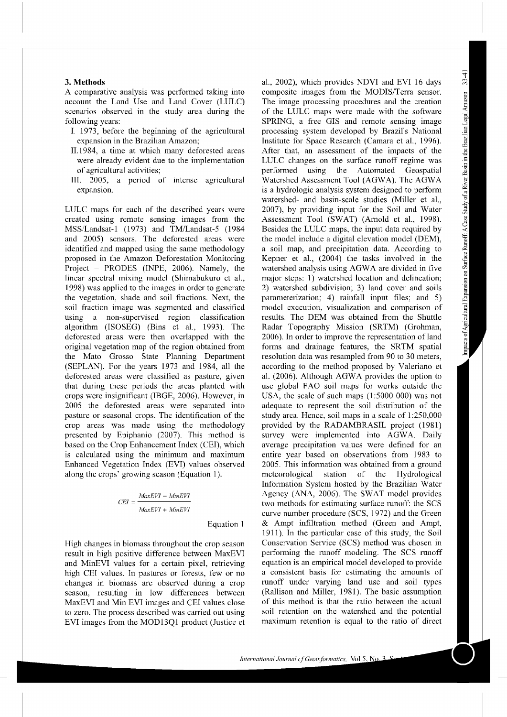#### 3. **Methods**

A comparative analysis was performed taking into acconnt the Land Use and Land Cover (LULC) scenarios observed in the stndy area during the following years:

- I. 1973, before the beginning of the agricultural expansion in the Brazilian Amazon;
- 11.1984, a time at which many deforested areas were already evident due to the implementation of agricultural activities;
- III. 2005, a period of intense agricultural expansion.

LULC maps for each of the described years were created using remote sensing images from the MSS/Landsat-1 (1973) and TM/Landsat-5 (1984 and 2005) sensors. The deforested areas were identified and mapped using the same methodology proposed in the Amazon Deforestation Monitoring Project - PRODES (INPE, 2006). Namely, the linear spectral mixing model (Shimabukuro et al., 1998) was applied to the images in order to generate the vegetation, shade and soil fractions. Next, the soil fraction image was segmented and classified using a non-supervised region classification algorithm (ISOSEG) (Bins et al., 1993). The deforested areas were then overlapped with the original vegetation map of the region obtained from the Mato Grosso State Planning Department (SEPLAN). For the years 1973 and 1984, all the deforested areas were classified as pasture, given that during these periods the areas planted with crops were insignificant (IBGE, 2006). However, in 2005 the deforested areas were separated into pasture or seasonal crops. The identification of the crop areas was made using the methodology presented by Epiphanio (2007). This method is based on the Crop Enhancement Index (CEI), which is calculated using the minimum and maximum Enhanced Vegetation Index (EVI) values observed along the crops' growing season (Equation 1).

$$
CEI = \frac{MaxEVI - MinEVI}{MaxEVI + MinEVI}
$$

Equation 1

High changes in biomass throughout the crop season result in high positive difference between MaxEVI and MinEVI values for a certain pixel, retrieving high CEI values. In pastures or forests, few or no changes in biomass are observed during a crop season, resulting in low differences between MaxEVI and Min EVI images and CEI values close to zero. The process described was carried out using EVI images from the MOD13Ql product (Justice et al., 2002), which provides NDVI and EVI 16 days composite images from the MODIS/Terra sensor. The image processing procedures and the creation of the LULC maps were made with the software SPRING, a free GIS and remote sensing image processing system developed by Brazil's National Institute for Space Research (Camara et al., 1996). After that, an assessment of the impacts of the LULC changes on the surface runoff regime was performed using the Automated Geospatial Watershed Assessment Tool (AGWA). The AGW A is a hydrologic analysis system designed to perform watershed- and basin-scale studies (Miller et al., 2007), by providing input for the Soil and Water Assessment Tool (SWAT) (Arnold et al., 1998). Besides the LULC maps, the input data required by the model include a digital elevation model (DEM), a soil map, and precipitation data. According to Kepner et al., (2004) the tasks involved in the watershed analysis using AGWA are divided in five major steps: 1) watershed location and delineation; 2) watershed subdivision; 3) land cover and soils parameterization; 4) rainfall input files; and 5) model execution, visualization and comparison of results. The DEM was obtained from the Shuttle Radar Topography Mission (SRTM) (Grohman, 2006). In order to improve the representation of land forms and drainage features, the SRTM spatial resolution data was resampled from 90 to 30 meters, according to the method proposed by Valeriano et al. (2006). Although AGWA provides the option to use global FAO soil maps for works outside the USA, the scale of such maps (1:5000 000) was not adequate to represent the soil distribution of the study area. Hence, soil maps in a scale of 1 :250,000 provided by the RADAMBRASIL project (1981) survey were implemented into AGWA. Daily average precipitation values were defined for an entire year based on observations from 1983 to 2005. This information was obtained from a ground meteorological station of the Hydrological Information System hosted by the Brazilian Water Agency (ANA, 2006). The SWAT model provides two methods for estimating surface runoff: the SCS curve number procedure (SCS, 1972) and the Green & Ampt infiltration method (Green and Ampt, 1911 ). In the particular case of this stndy, the Soil Conservation Service (SCS) method was chosen in performing the runoff modeling. The SCS runoff equation is an empirical model developed to provide a consistent basis for estimating the amonnts of runoff under vatying land use and soil types (Rallison and Miller, 1981 *).* The basic assumption of this method is that the ratio between the actual soil retention on the watershed and the potential maximum retention is equal to the ratio of direct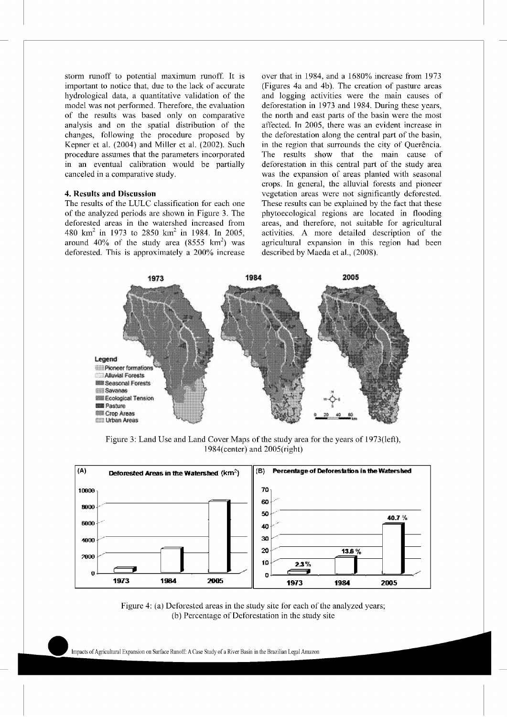storm runoff to potential maximum runoff. It is important to notice that, due to the lack of accurate hydrological data, a quantitative validation of the model was not performed. Therefore, the evaluation of the results was based only on comparative analysis and on the spatial distribution of the changes, following the procedure proposed by Kepner et al. (2004) and Miller et al. (2002). Such procedure assumes that the parameters incorporated in an eventual calibration would be partially canceled in a comparative study.

### **4. Results and Discussion**

The results of the LULC classification for each one of the analyzed periods are shown in Figure 3. The deforested areas in the watershed increased from 480 km<sup>2</sup> in 1973 to 2850 km<sup>2</sup> in 1984. In 2005, around  $40\%$  of the study area  $(8555 \text{ km}^2)$  was deforested. This is approximately a 200% increase

over that in 1984, and a 1680% increase from 1973 (Figures 4a and 4b). The creation of pasture areas and logging activities were the main causes of deforestation in 1973 and 1984. During these years, the north and east parts of the basin were the most affected. In 2005, there was an evident increase in the deforestation along the central part of the basin, in the region that surrounds the city of Querência. The results show that the mam cause of deforestation in this central part of the study area was the expansion of areas planted with seasonal crops. In general, the alluvial forests and pioneer vegetation areas were not significantly deforested. These results can be explained by the fact that these phytoecological regions are located in flooding areas, and therefore, not suitable for agricultural activities. A more detailed description of the agricultural expansion in this region had been described by Maeda et al., (2008).



Figure 3: Land Use and Land Cover Maps of the study area for the years of 1973(left), 1984( center) and 2005( right)



Figure 4: (a) Deforested areas in the study site for each of the analyzed years; (b) Percentage of Deforestation in the study site

hnpacts of Agricultural Expansion on Surface Runoff: A Case Study of a River Basin in the Brazilian Legal Amazon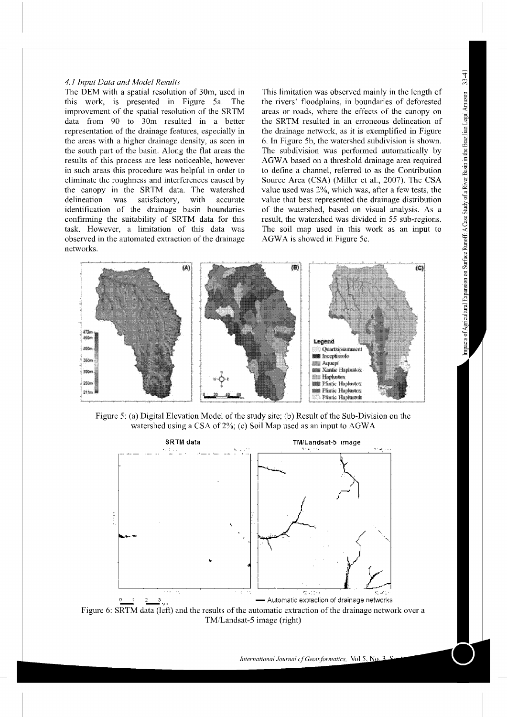#### *4.1 Input Data and Model Results*

The DEM with a spatial resolution of 30m, used in this work, is presented in Figure 5a. The improvement of the spatial resolution of the SRTM data from 90 to 30m resulted in a better representation of the drainage features, especially in the areas with a higher drainage density, as seen in the south part of the basin. Along the flat areas the results of this process are less noticeable, however in such areas this procedure was helpful in order to eliminate the roughness and interferences caused by the canopy in the SRTM data. The watershed delineation was satisfactory, with accurate identification of the drainage basin boundaries confirming the suitability of SRTM data for this task. However, a limitation of this data was observed in the automated extraction of the drainage networks.

This limitation was observed mainly in the length of the rivers' floodplains, in boundaries of deforested areas or roads, where the effects of the canopy on the SRTM resulted in an erroneous delineation of the drainage network, as it is exemplified in Figure 6. In Figure 5b, the watershed subdivision is shown. The subdivision was performed automatically by AGWA based on a threshold drainage area required to define a channel, referred to as the Contribution Source Area (CSA) (Miller et al., 2007). The CSA value used was 2%, which was, atler a few tests, the value that best represented the drainage distribution of the watershed, based on visual analysis. As a result, the watershed was divided in 55 sub-regions. The soil map used in this work as an input to AGWA is showed in Figure 5c.



Figure 5: (a) Digital Elevation Model of the study site; (b) Result of the Sub-Division on the watershed using a CSA of 2%; (c) Soil Map used as an input to AGW A



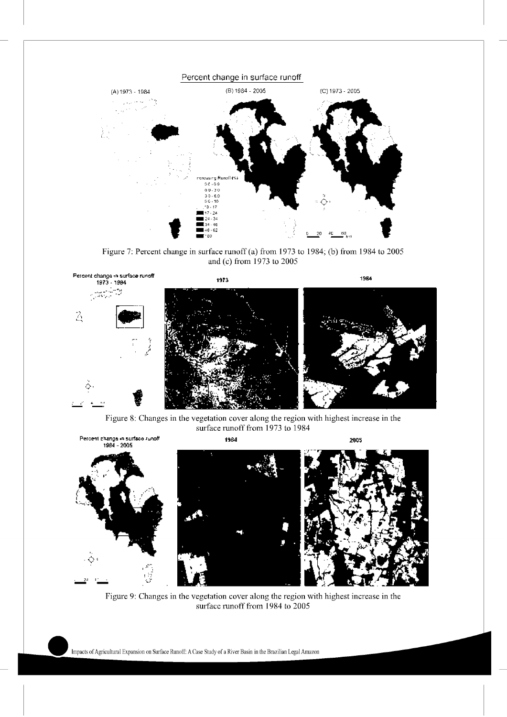

Figure 7: Percent change in surface runoff(a) from 1973 to 1984; (b) from 1984 to 2005 and (c) from 1973 to 2005



Figure 8: Changes in the vegetation cover along the region with highest increase in the surface runoff from 1973 to 1984



Figure 9: Changes in the vegetation cover along the region with highest increase in the surface runoff from 1984 to 2005

hnpacts of Agricultural Expansion on Surface Runoff: A Case Study of a River Basin in the Brazilian Legal Amazon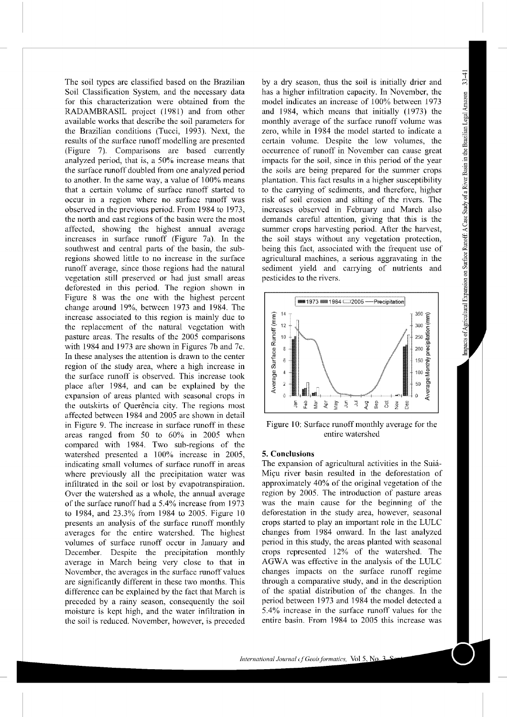The soil types are classified based on the Brazilian Soil Classification System, and the necessary data for this characterization were obtained from the RADAMBRASIL project (1981) and from other available works that describe the soil parameters for the Brazilian conditions (Tucci, 1993). Next, the results of the surface runoff modelling are presented (Figure 7). Comparisons are based currently analyzed period, that is, a 50% increase means that the surface runoff doubled from one analyzed period to another. In the same way, a value of 100% means that a certain volume of surface runoff started to occur in a region where no surface runoff was observed in the previous period. From 1984 to 1973, the north and east regions of the basin were the most affected, showing the highest annual average increases in surface runoff (Figure 7a). In the southwest and central parts of the basin, the subregions showed little to no increase in the surface runoff average, since those regions had the natural vegetation still preserved or had just small areas deforested in this period. The region *shovm* in Figure 8 was the one with the highest percent change around 19%, between 1973 and 1984. The increase associated to this region is mainly due to the replacement of the natural vegetation with pasture areas. The results of the 2005 comparisons with 1984 and 1973 are shown in Figures 7b and 7c. In these analyses the attention is drawn to the center region of the study area, where a high increase in the surface runoff is observed. This increase took place after 1984, and can be explained by the expansion of areas planted with seasonal crops in the outskirts of Querência city. The regions most affected between 1984 and 2005 are shown in detail in Figure 9. The increase in surface runoff in these areas ranged from 50 to 60% in 2005 when compared with 1984. Two sub-regions of the watershed presented a 100% increase in 2005, indicating small volumes of surface mnoff in areas where previously all the precipitation water was infiltrated in the soil or lost by evapotranspiration. Over the watershed as a whole, the annual average of the surface runoff had a 5.4% increase from 1973 to 1984, and 23.3% from 1984 to 2005. Figure 10 presents an analysis of the surface runoff monthly averages for the entire watershed. The highest volumes of surface runoff occur in January and December. Despite the precipitation monthly average in March being very close to that in November, the averages in the surface runoff values are significantly different in these two months. This difference can be explained by the fact that March is preceded by a rainy season, consequently the soil moisture is kept high, and the water infiltration in the soil is reduced. November, however, is preceded

by a dry season, thus the soil is initially drier and has a higher infiltration capacity. In November, the model indicates an increase of 100% between 1973 and 1984, which means that initially (1973) the monthly average of the surface runoff volume was zero, while in 1984 the model started to indicate a certain volume. Despite the low volumes, the occurrence of tunofi in November can cause great impacts for the soil, since in this period of the year the soils are being prepared for the summer crops plantation. This fact results in a higher susceptibility to the carrying of sediments, and therefore, higher risk of soil erosion and silting of the rivers. The increases observed in Febmary and March also demands careful attention, giving that this is the summer crops harvesting period. After the harvest, the soil stays without any vegetation protection, being this fact, associated with the frequent use of agricultural machines, a serious aggravating in the sediment yield and carrying of nutrients and pesticides to the rivers.



Figure 10: Surface runoff monthly average for the entire watershed

#### **5. Conclusions**

The expansion of agricultural activities in the Suia-Miçu river basin resulted in the deforestation of approximately 40% of the original vegetation of the region by 2005. The introduction of pasture areas was the main cause for the beginning of the deforestation in the study area, however, seasonal crops started to play an important role in the LULC changes from 1984 onward. In the last analyzed period in this study, the areas planted with seasonal crops represented 12% of the watershed. The AGWA was effective in the analysis of the LULC changes impacts on the surface mnoff regime through a comparative study, and in the description of the spatial distribution of the changes. In the period between 1973 and 1984 the model detected a 5.4% increase in the surface runoff values for the entire basin. From 1984 to 2005 this increase was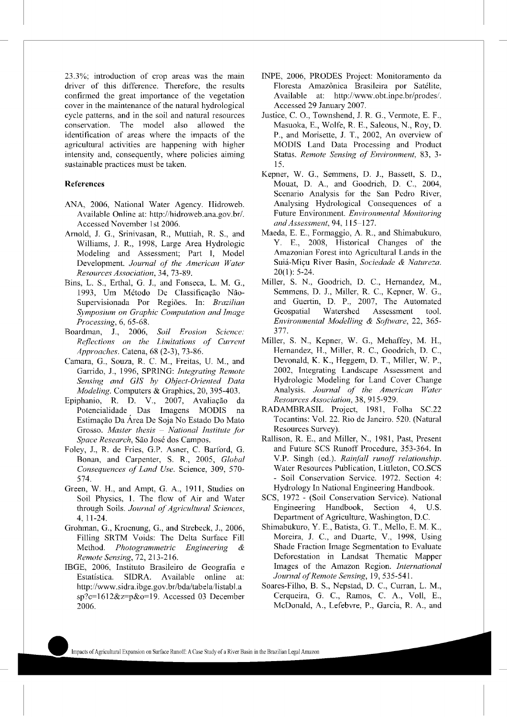23.3%; introduction of crop areas was the main driver of this difference. Therefore, the results confirmed the great importance of the vegetation cover in the maintenance of the natural hydrological cycle patterns, and in the soil and natural resources conservation. The model also allowed the identification of areas where the impacts of the agricultural activities are happening with higher intensity and, consequently, where policies aiming sustainable practices must be taken.

#### **References**

- ANA, 2006, National Water Agency. Hidroweb. Available Online at: http://hidroweb.ana.gov.br/. Accessed November 1st 2006.
- Arnold, J. G., Srinivasan, R., Muttiah, R. S., and Williams, J. R., 1998, Large Area Hydrologic Modeling and Assessment; Part I, Model Development. *Journal of the American Water Resources Association,* 34, 73-89.
- Bins, L. S., Erthal, G. J., and Fonseca, L. M. G., 1993, Um Método De Classificação Não-Supervisionada Por Regioes. In: *Brazilian Symposium on Graphic Computation and Image Processing,* 6, 65-68.
- Boardman, J., 2006, *Soil Erosion Science: Reflections on the Limitations of Current Approaches.* Catena, 68 (2-3), 73-86.
- Camara, G., Souza, R. C. M., Freitas, U. M., and Ganido, J., 1996, SPRING: *Integrating Remote Sensing and GIS hy Object-Oriented Data Modeling.* Computers & Graphics, 20, 395-403.
- Epiphanio, R. D. V., 2007, Avaliação da Potencialidade Das Imagens MODIS na Estimação Da Area De Soja No Estado Do Mato Grosso. *Master thesis* - *National Institute for Space Research,* Sao Jose dos Campos.
- Foley, J., R. de Fries, G.P. Asner, C. Barford, G. Bonan, and Carpenter, S. R., 2005, *Global Consequences of Land Use.* Science, 309, 570- 574.
- Green, W. H., and Ampt, G. A., 1911, Studies on Soil Physics, 1. The flow of Air and Water through Soils. *Journal of Agricultural Sciences,*  4, 11-24.
- Grohman, G., Kroenung, G., and Strebeck, J., 2006, Filling SRTM Voids: The Delta Surface Fill Method. *Photogrammetric Engineering & Remote Sensing,* 72, 213-216.
- IBGE, 2006, Instituto Brasileiro de Geogratia e Estatistica. SIDRA. Available online at: http://www.sidra.ibge.gov.br/bda/tabela/listabl.a sp?c=1612&z=p&o=19. Accessed 03 December 2006.
- INPE, 2006, PRODES Project: Monitoramento da Floresta Amazônica Brasileira por Satélite, Available at: http://www.obt.inpe.br/prodes/. Accessed 29 January 2007.
- Justice, C. 0., Townshend, J. R. G., Vermote, E. F., Masuoka, E., Wolfe, R. E., Saleous, N., Roy, D. P., and Morisette, J. T., 2002, An overview of MODIS Land Data Processing and Product Status. *Remote Sensing of Environment,* 83, 3- 15.
- Kepner, W. G., Semmens, D. J., Bassett, S. D., Mouat, D. A., and Goodrich, D. C., 2004, Scenario Analysis for the San Pedro River, Analysing Hydrological Consequences of a Future Environment. *Environmental Monitoring and Assessment,* 94, 115-127.
- Maeda, E. E., Formaggio, A. R., and Shimabukuro, Y. E., 2008, Historical Changes of the Amazonian Forest into Agricultural Lands in the Suiá-Miçu River Basin, *Sociedade & Natureza*.  $20(1)$ : 5-24.
- Miller, S. N., Goodrich, D. C., Hernandez, M., Semmens, D. J., Miller, R. C., Kepner, W. G., and Guertin, D. P., 2007, The Automated Geospatial Watershed Assessment tool. *Environmental Modelling* & *Software,* 22, 365- 377.
- Miller, S. N., Kepner, W. G., Mehaffey, M. H., Hernandez, H., Miller, R. C., Goodrich, D. C., Devonald, K. K., Heggem, D. T., Miller, W. P., 2002, Integrating Landscape Assessment and Hydrologic Modeling for Land Cover Change Analysis. *Journal of the American Water Resources Association,* 38, 915-929.
- RADAMBRASIL Project, 1981, Folha SC.22 Tocantins: Vol. 22. Rio de Janeiro. 520. (Natural Resources Survey).
- Rallison, R. E., and Miller, N., 1981, Past, Present and Future SCS Runoff Procedme, 353-364. In V.P. Singh (ed.). *Rainfall runojf relationship.*  Water Resources Publication, Littleton, CO.SCS - Soil Conservation Service. 1972. Section 4: Hydrology In National Engineering Handbook.
- SCS, 1972 (Soil Conservation Service). National Engineering Handbook, Section 4, U.S. Depattment of Agriculture, Washington, D.C.
- Shimabukuro, Y. E., Batista, G. T., Mello, E. M. K., Moreira, J. C., and Duarte, V., 1998, Using Shade Fraction Image Segmentation to Evaluate Deforestation in Landsat Thematic Mapper Images of the Amazon Region. *International Journal of Remote Sensing,* 19, 535-541.
- Soares-Filho, B. S., Nepstad, D. C., Curran, L. M., Cerqueira, G. C., Ramos, C. A., Voll, E., McDonald, A., Lefebvre, P., Garcia, R. A., and